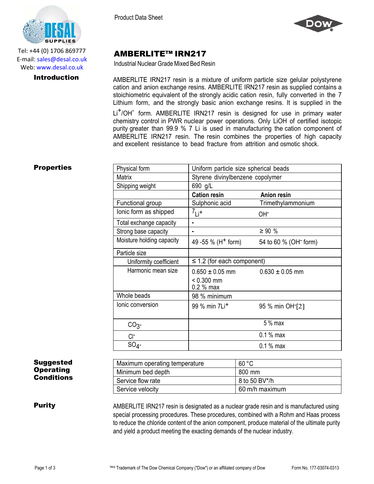

Tel: +44 (0) 1706 869777 E‐mail: sales@desal.co.uk Web: www.desal.co.uk

Product Data Sheet



# AMBERLITE™ IRN217

Industrial Nuclear Grade Mixed Bed Resin

**Introduction** AMBERLITE IRN217 resin is a mixture of uniform particle size gelular polystyrene cation and anion exchange resins. AMBERLITE IRN217 resin as supplied contains a stoichiometric equivalent of the strongly acidic cation resin, fully converted in the 7 Lithium form, and the strongly basic anion exchange resins. It is supplied in the Li<sup>+</sup>/OH<sup>-</sup> form. AMBERLITE IRN217 resin is designed for use in primary water chemistry control in PWR nuclear power operations. Only LiOH of certified isotopic purity greater than 99.9 % 7 Li is used in manufacturing the cation component of AMBERLITE IRN217 resin. The resin combines the properties of high capacity and excellent resistance to bead fracture from attrition and osmotic shock.

## **Properties**

| Physical form             | Uniform particle size spherical beads |                                   |  |
|---------------------------|---------------------------------------|-----------------------------------|--|
| <b>Matrix</b>             | Styrene divinylbenzene copolymer      |                                   |  |
| Shipping weight           | 690 g/L                               |                                   |  |
|                           | <b>Cation resin</b>                   | <b>Anion resin</b>                |  |
| Functional group          | Sulphonic acid                        | Trimethylammonium                 |  |
| lonic form as shipped     | $7_{Li^+}$                            | OH-                               |  |
| Total exchange capacity   |                                       |                                   |  |
| Strong base capacity      |                                       | $\geq 90 \%$                      |  |
| Moisture holding capacity | 49 - 55 % (H <sup>+</sup> form)       | 54 to 60 % (OH <sup>-</sup> form) |  |
| Particle size             |                                       |                                   |  |
| Uniformity coefficient    | $\leq$ 1.2 (for each component)       |                                   |  |
| Harmonic mean size        | $0.650 \pm 0.05$ mm<br>$< 0.300$ mm   | $0.630 \pm 0.05$ mm               |  |
|                           | 0.2 % max                             |                                   |  |
| Whole beads               | 98 % minimum                          |                                   |  |
| Ionic conversion          | 99 % min 7Li <sup>+</sup>             | 95 % min OH <sup>-</sup> [2]      |  |
| CO <sub>3</sub>           |                                       | $5%$ max                          |  |
| CI-                       |                                       | $0.1%$ max                        |  |
| $SO_4$ -                  |                                       | $0.1%$ max                        |  |

### Suggested **Operating** Conditions

| Maximum operating temperature | 60 °C          |
|-------------------------------|----------------|
| Minimum bed depth             | 800 mm         |
| Service flow rate             | 8 to 50 BV*/h  |
| Service velocity              | 60 m/h maximum |

**Purity** AMBERLITE IRN217 resin is designated as a nuclear grade resin and is manufactured using special processing procedures. These procedures, combined with a Rohm and Haas process to reduce the chloride content of the anion component, produce material of the ultimate purity and yield a product meeting the exacting demands of the nuclear industry.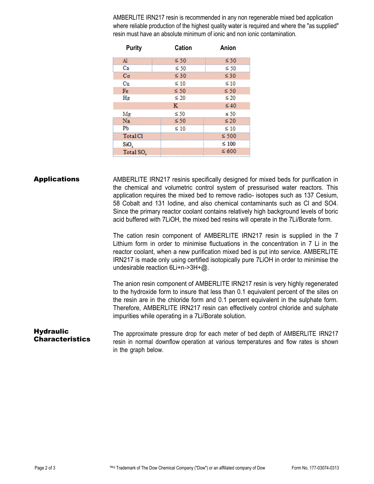AMBERLITE IRN217 resin is recommended in any non regenerable mixed bed application where reliable production of the highest quality water is required and where the "as supplied" resin must have an absolute minimum of ionic and non ionic contamination.

| <b>Purity</b>         | <b>Cation</b> | Anion      |
|-----------------------|---------------|------------|
| $\mathbf{A}$          | $\leq 50$     | $\leq 50$  |
| Ca                    | $\leq 50$     | $\leq 50$  |
| Co                    | $\leq 30$     | $\leq 30$  |
| Cu                    | $\leq 10$     | $\leq 10$  |
| Fe                    | $\leq 50$     | $\leq 50$  |
| Hg                    | $\leq 20$     | $\leq 20$  |
|                       | к             | $\leq 40$  |
| Mg                    | $\leq 50$     | $\leq 50$  |
| Na                    | $\leq 50$     | $\leq 20$  |
| P <sub>b</sub>        | $\leq 10$     | $\leq 10$  |
| <b>Total Cl</b>       |               | $\leq 500$ |
| SiO,                  |               | $\leq 100$ |
| Total SO <sub>4</sub> |               | $\leq 600$ |

**Applications** AMBERLITE IRN217 resinis specifically designed for mixed beds for purification in the chemical and volumetric control system of pressurised water reactors. This application requires the mixed bed to remove radio- isotopes such as 137 Cesium, 58 Cobalt and 131 Iodine, and also chemical contaminants such as Cl and SO4. Since the primary reactor coolant contains relatively high background levels of boric acid buffered with 7LiOH, the mixed bed resins will operate in the 7Li/Borate form.

> The cation resin component of AMBERLITE IRN217 resin is supplied in the 7 Lithium form in order to minimise fluctuations in the concentration in 7 Li in the reactor coolant, when a new purification mixed bed is put into service. AMBERLITE IRN217 is made only using certified isotopically pure 7LiOH in order to minimise the undesirable reaction 6Li+n->3H+@.

> The anion resin component of AMBERLITE IRN217 resin is very highly regenerated to the hydroxide form to insure that less than 0.1 equivalent percent of the sites on the resin are in the chloride form and 0.1 percent equivalent in the sulphate form. Therefore, AMBERLITE IRN217 resin can effectively control chloride and sulphate impurities while operating in a 7Li/Borate solution.

### **Hydraulic Characteristics**

The approximate pressure drop for each meter of bed depth of AMBERLITE IRN217 resin in normal downflow operation at various temperatures and flow rates is shown in the graph below.